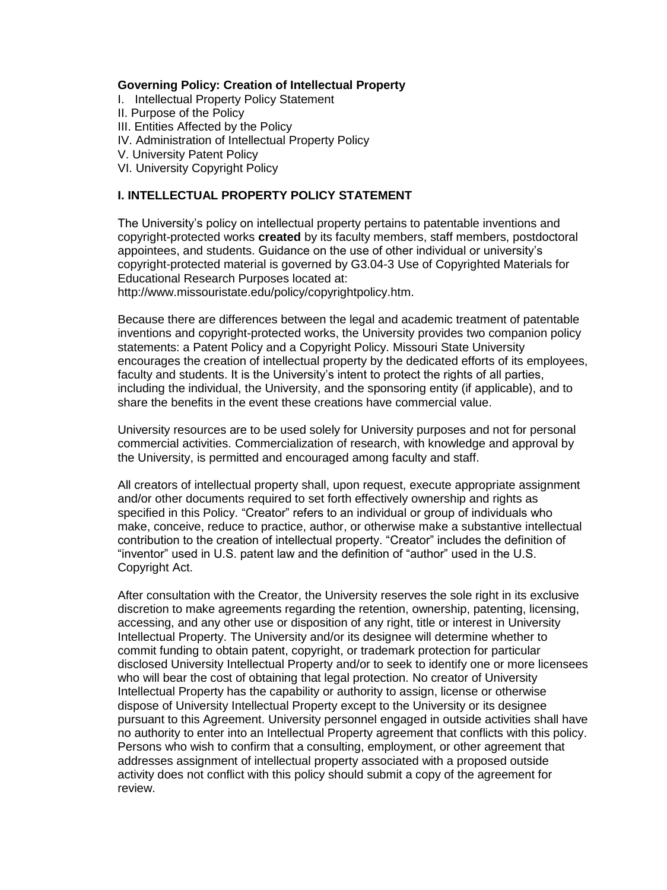#### **Governing Policy: Creation of Intellectual Property**

- I. [Intellectual Property Policy Statement](http://www.uiowa.edu/~our/opmanual/v/30.htm#301#301)
- II. Purpose of the Policy
- III. Entities Affected by the Policy
- IV. [Administration of Intellectual Property Policy](http://www.uiowa.edu/~our/opmanual/v/30.htm#302#302)
- [V. University Patent Policy](http://www.uiowa.edu/~our/opmanual/v/30.htm#303#303)
- VI. [University Copyright Policy](http://www.uiowa.edu/~our/opmanual/v/30.htm#304#304)

#### **I. INTELLECTUAL PROPERTY POLICY STATEMENT**

The University's policy on intellectual property pertains to patentable inventions and copyright-protected works **created** by its faculty members, staff members, postdoctoral appointees, and students. Guidance on the use of other individual or university's copyright-protected material is governed by G3.04-3 Use of Copyrighted Materials for Educational Research Purposes located at:

http://www.missouristate.edu/policy/copyrightpolicy.htm.

Because there are differences between the legal and academic treatment of patentable inventions and copyright-protected works, the University provides two companion policy statements: a Patent Policy and a Copyright Policy. Missouri State University encourages the creation of intellectual property by the dedicated efforts of its employees, faculty and students. It is the University's intent to protect the rights of all parties, including the individual, the University, and the sponsoring entity (if applicable), and to share the benefits in the event these creations have commercial value.

University resources are to be used solely for University purposes and not for personal commercial activities. Commercialization of research, with knowledge and approval by the University, is permitted and encouraged among faculty and staff.

All creators of intellectual property shall, upon request, execute appropriate assignment and/or other documents required to set forth effectively ownership and rights as specified in this Policy. "Creator" refers to an individual or group of individuals who make, conceive, reduce to practice, author, or otherwise make a substantive intellectual contribution to the creation of intellectual property. "Creator" includes the definition of "inventor" used in U.S. patent law and the definition of "author" used in the U.S. Copyright Act.

After consultation with the Creator, the University reserves the sole right in its exclusive discretion to make agreements regarding the retention, ownership, patenting, licensing, accessing, and any other use or disposition of any right, title or interest in University Intellectual Property. The University and/or its designee will determine whether to commit funding to obtain patent, copyright, or trademark protection for particular disclosed University Intellectual Property and/or to seek to identify one or more licensees who will bear the cost of obtaining that legal protection. No creator of University Intellectual Property has the capability or authority to assign, license or otherwise dispose of University Intellectual Property except to the University or its designee pursuant to this Agreement. University personnel engaged in outside activities shall have no authority to enter into an Intellectual Property agreement that conflicts with this policy. Persons who wish to confirm that a consulting, employment, or other agreement that addresses assignment of intellectual property associated with a proposed outside activity does not conflict with this policy should submit a copy of the agreement for review.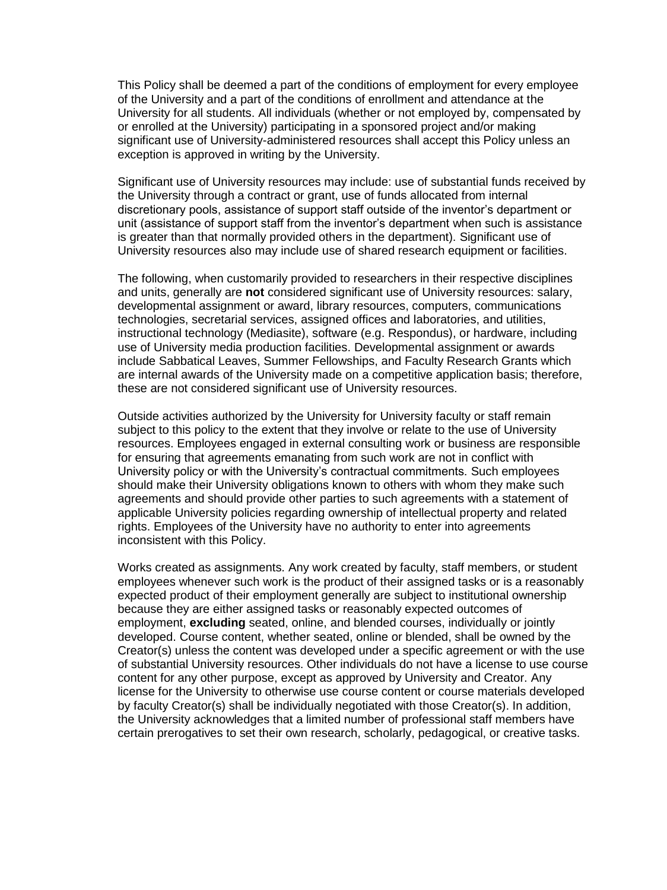This Policy shall be deemed a part of the conditions of employment for every employee of the University and a part of the conditions of enrollment and attendance at the University for all students. All individuals (whether or not employed by, compensated by or enrolled at the University) participating in a sponsored project and/or making significant use of University-administered resources shall accept this Policy unless an exception is approved in writing by the University.

Significant use of University resources may include: use of substantial funds received by the University through a contract or grant, use of funds allocated from internal discretionary pools, assistance of support staff outside of the inventor's department or unit (assistance of support staff from the inventor's department when such is assistance is greater than that normally provided others in the department). Significant use of University resources also may include use of shared research equipment or facilities.

The following, when customarily provided to researchers in their respective disciplines and units, generally are **not** considered significant use of University resources: salary, developmental assignment or award, library resources, computers, communications technologies, secretarial services, assigned offices and laboratories, and utilities, instructional technology (Mediasite), software (e.g. Respondus), or hardware, including use of University media production facilities. Developmental assignment or awards include Sabbatical Leaves, Summer Fellowships, and Faculty Research Grants which are internal awards of the University made on a competitive application basis; therefore, these are not considered significant use of University resources.

Outside activities authorized by the University for University faculty or staff remain subject to this policy to the extent that they involve or relate to the use of University resources. Employees engaged in external consulting work or business are responsible for ensuring that agreements emanating from such work are not in conflict with University policy or with the University's contractual commitments. Such employees should make their University obligations known to others with whom they make such agreements and should provide other parties to such agreements with a statement of applicable University policies regarding ownership of intellectual property and related rights. Employees of the University have no authority to enter into agreements inconsistent with this Policy.

Works created as assignments. Any work created by faculty, staff members, or student employees whenever such work is the product of their assigned tasks or is a reasonably expected product of their employment generally are subject to institutional ownership because they are either assigned tasks or reasonably expected outcomes of employment, **excluding** seated, online, and blended courses, individually or jointly developed. Course content, whether seated, online or blended, shall be owned by the Creator(s) unless the content was developed under a specific agreement or with the use of substantial University resources. Other individuals do not have a license to use course content for any other purpose, except as approved by University and Creator. Any license for the University to otherwise use course content or course materials developed by faculty Creator(s) shall be individually negotiated with those Creator(s). In addition, the University acknowledges that a limited number of professional staff members have certain prerogatives to set their own research, scholarly, pedagogical, or creative tasks.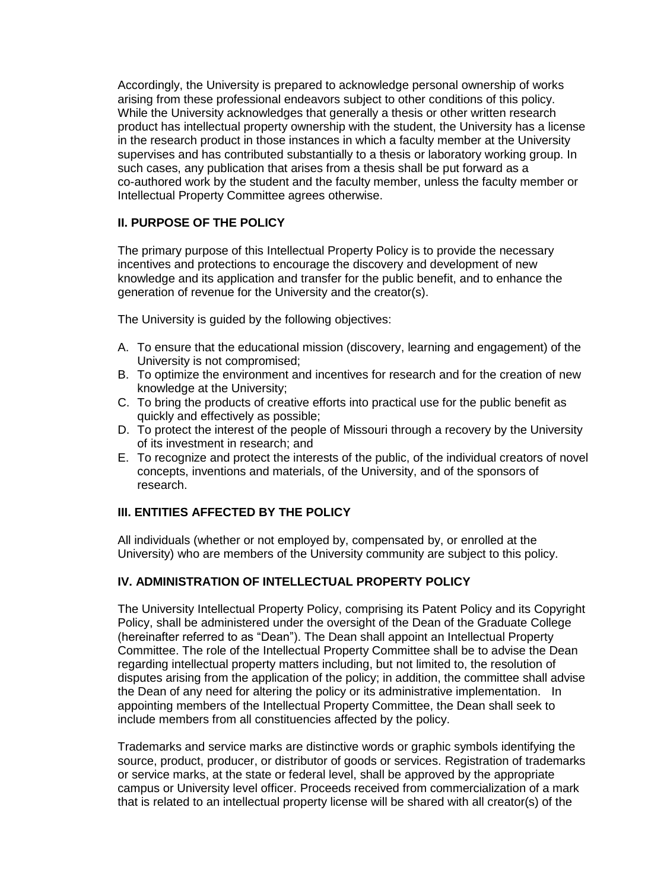Accordingly, the University is prepared to acknowledge personal ownership of works arising from these professional endeavors subject to other conditions of this policy. While the University acknowledges that generally a thesis or other written research product has intellectual property ownership with the student, the University has a license in the research product in those instances in which a faculty member at the University supervises and has contributed substantially to a thesis or laboratory working group. In such cases, any publication that arises from a thesis shall be put forward as a co-authored work by the student and the faculty member, unless the faculty member or Intellectual Property Committee agrees otherwise.

# **II. PURPOSE OF THE POLICY**

The primary purpose of this Intellectual Property Policy is to provide the necessary incentives and protections to encourage the discovery and development of new knowledge and its application and transfer for the public benefit, and to enhance the generation of revenue for the University and the creator(s).

The University is guided by the following objectives:

- A. To ensure that the educational mission (discovery, learning and engagement) of the University is not compromised;
- B. To optimize the environment and incentives for research and for the creation of new knowledge at the University;
- C. To bring the products of creative efforts into practical use for the public benefit as quickly and effectively as possible;
- D. To protect the interest of the people of Missouri through a recovery by the University of its investment in research; and
- E. To recognize and protect the interests of the public, of the individual creators of novel concepts, inventions and materials, of the University, and of the sponsors of research.

# **III. ENTITIES AFFECTED BY THE POLICY**

All individuals (whether or not employed by, compensated by, or enrolled at the University) who are members of the University community are subject to this policy.

# **IV. ADMINISTRATION OF INTELLECTUAL PROPERTY POLICY**

The University Intellectual Property Policy, comprising its Patent Policy and its Copyright Policy, shall be administered under the oversight of the Dean of the Graduate College (hereinafter referred to as "Dean"). The Dean shall appoint an Intellectual Property Committee. The role of the Intellectual Property Committee shall be to advise the Dean regarding intellectual property matters including, but not limited to, the resolution of disputes arising from the application of the policy; in addition, the committee shall advise the Dean of any need for altering the policy or its administrative implementation. In appointing members of the Intellectual Property Committee, the Dean shall seek to include members from all constituencies affected by the policy.

Trademarks and service marks are distinctive words or graphic symbols identifying the source, product, producer, or distributor of goods or services. Registration of trademarks or service marks, at the state or federal level, shall be approved by the appropriate campus or University level officer. Proceeds received from commercialization of a mark that is related to an intellectual property license will be shared with all creator(s) of the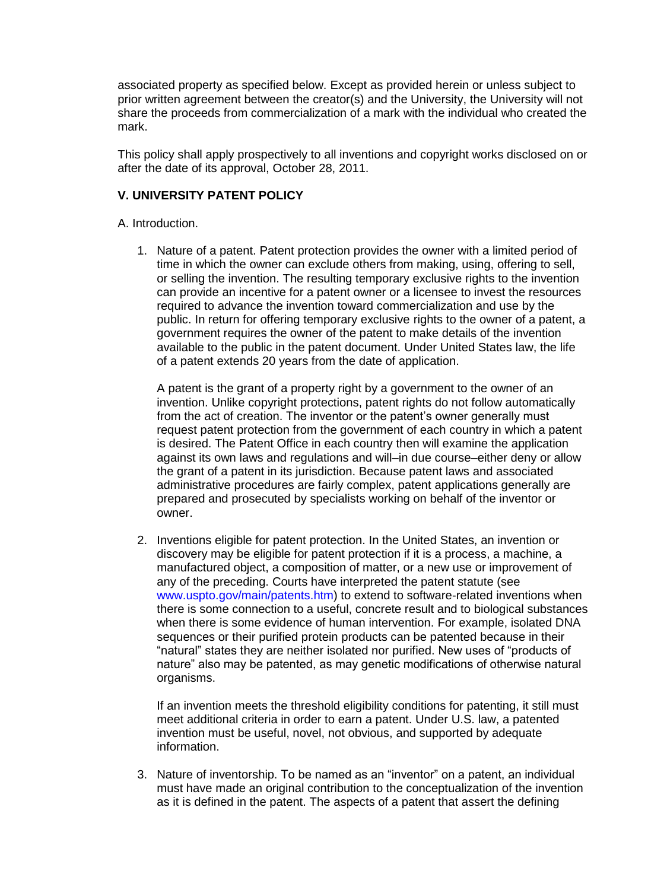associated property as specified below. Except as provided herein or unless subject to prior written agreement between the creator(s) and the University, the University will not share the proceeds from commercialization of a mark with the individual who created the mark.

This policy shall apply prospectively to all inventions and copyright works disclosed on or after the date of its approval, October 28, 2011.

### **V. UNIVERSITY PATENT POLICY**

A. Introduction.

1. Nature of a patent. Patent protection provides the owner with a limited period of time in which the owner can exclude others from making, using, offering to sell, or selling the invention. The resulting temporary exclusive rights to the invention can provide an incentive for a patent owner or a licensee to invest the resources required to advance the invention toward commercialization and use by the public. In return for offering temporary exclusive rights to the owner of a patent, a government requires the owner of the patent to make details of the invention available to the public in the patent document. Under United States law, the life of a patent extends 20 years from the date of application.

A patent is the grant of a property right by a government to the owner of an invention. Unlike copyright protections, patent rights do not follow automatically from the act of creation. The inventor or the patent's owner generally must request patent protection from the government of each country in which a patent is desired. The Patent Office in each country then will examine the application against its own laws and regulations and will–in due course–either deny or allow the grant of a patent in its jurisdiction. Because patent laws and associated administrative procedures are fairly complex, patent applications generally are prepared and prosecuted by specialists working on behalf of the inventor or owner.

2. Inventions eligible for patent protection. In the United States, an invention or discovery may be eligible for patent protection if it is a process, a machine, a manufactured object, a composition of matter, or a new use or improvement of any of the preceding. Courts have interpreted the patent statute (see [www.uspto.gov/main/patents.htm\)](http://www.uspto.gov/main/patents.htm) to extend to software-related inventions when there is some connection to a useful, concrete result and to biological substances when there is some evidence of human intervention. For example, isolated DNA sequences or their purified protein products can be patented because in their "natural" states they are neither isolated nor purified. New uses of "products of nature" also may be patented, as may genetic modifications of otherwise natural organisms.

If an invention meets the threshold eligibility conditions for patenting, it still must meet additional criteria in order to earn a patent. Under U.S. law, a patented invention must be useful, novel, not obvious, and supported by adequate information.

3. Nature of inventorship. To be named as an "inventor" on a patent, an individual must have made an original contribution to the conceptualization of the invention as it is defined in the patent. The aspects of a patent that assert the defining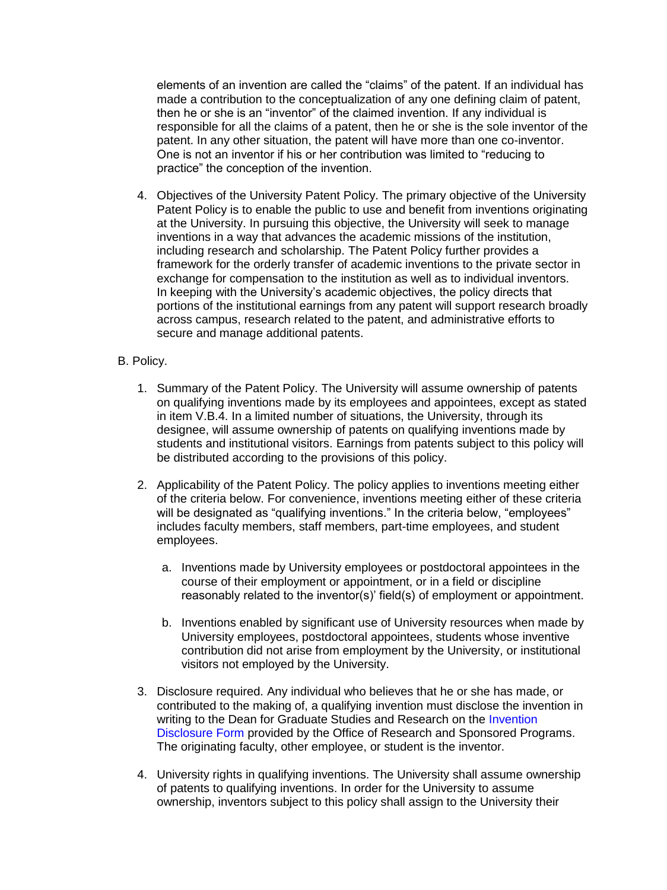elements of an invention are called the "claims" of the patent. If an individual has made a contribution to the conceptualization of any one defining claim of patent, then he or she is an "inventor" of the claimed invention. If any individual is responsible for all the claims of a patent, then he or she is the sole inventor of the patent. In any other situation, the patent will have more than one co-inventor. One is not an inventor if his or her contribution was limited to "reducing to practice" the conception of the invention.

4. Objectives of the University Patent Policy. The primary objective of the University Patent Policy is to enable the public to use and benefit from inventions originating at the University. In pursuing this objective, the University will seek to manage inventions in a way that advances the academic missions of the institution, including research and scholarship. The Patent Policy further provides a framework for the orderly transfer of academic inventions to the private sector in exchange for compensation to the institution as well as to individual inventors. In keeping with the University's academic objectives, the policy directs that portions of the institutional earnings from any patent will support research broadly across campus, research related to the patent, and administrative efforts to secure and manage additional patents.

#### B. Policy.

- 1. Summary of the Patent Policy. The University will assume ownership of patents on qualifying inventions made by its employees and appointees, except as stated in item V.B.4. In a limited number of situations, the University, through its designee, will assume ownership of patents on qualifying inventions made by students and institutional visitors. Earnings from patents subject to this policy will be distributed according to the provisions of this policy.
- 2. Applicability of the Patent Policy. The policy applies to inventions meeting either of the criteria below. For convenience, inventions meeting either of these criteria will be designated as "qualifying inventions." In the criteria below, "employees" includes faculty members, staff members, part-time employees, and student employees.
	- a. Inventions made by University employees or postdoctoral appointees in the course of their employment or appointment, or in a field or discipline reasonably related to the inventor(s)' field(s) of employment or appointment.
	- b. Inventions enabled by significant use of University resources when made by University employees, postdoctoral appointees, students whose inventive contribution did not arise from employment by the University, or institutional visitors not employed by the University.
- 3. Disclosure required. Any individual who believes that he or she has made, or contributed to the making of, a qualifying invention must disclose the invention in writing to the Dean for Graduate Studies and Research on the Invention [Disclosure Form](http://srp.missouristate.edu/assets/srp/Invention_Disclosure.docx) provided by the Office of Research and Sponsored Programs. The originating faculty, other employee, or student is the inventor.
- 4. University rights in qualifying inventions. The University shall assume ownership of patents to qualifying inventions. In order for the University to assume ownership, inventors subject to this policy shall assign to the University their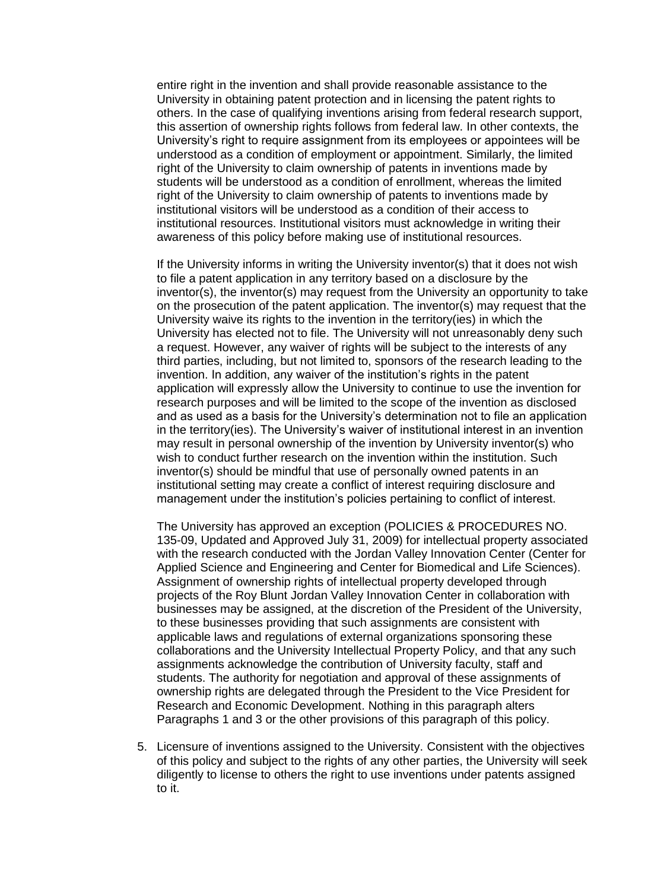entire right in the invention and shall provide reasonable assistance to the University in obtaining patent protection and in licensing the patent rights to others. In the case of qualifying inventions arising from federal research support, this assertion of ownership rights follows from federal law. In other contexts, the University's right to require assignment from its employees or appointees will be understood as a condition of employment or appointment. Similarly, the limited right of the University to claim ownership of patents in inventions made by students will be understood as a condition of enrollment, whereas the limited right of the University to claim ownership of patents to inventions made by institutional visitors will be understood as a condition of their access to institutional resources. Institutional visitors must acknowledge in writing their awareness of this policy before making use of institutional resources.

If the University informs in writing the University inventor(s) that it does not wish to file a patent application in any territory based on a disclosure by the inventor(s), the inventor(s) may request from the University an opportunity to take on the prosecution of the patent application. The inventor(s) may request that the University waive its rights to the invention in the territory(ies) in which the University has elected not to file. The University will not unreasonably deny such a request. However, any waiver of rights will be subject to the interests of any third parties, including, but not limited to, sponsors of the research leading to the invention. In addition, any waiver of the institution's rights in the patent application will expressly allow the University to continue to use the invention for research purposes and will be limited to the scope of the invention as disclosed and as used as a basis for the University's determination not to file an application in the territory(ies). The University's waiver of institutional interest in an invention may result in personal ownership of the invention by University inventor(s) who wish to conduct further research on the invention within the institution. Such inventor(s) should be mindful that use of personally owned patents in an institutional setting may create a conflict of interest requiring disclosure and management under the institution's policies pertaining to conflict of interest.

The University has approved an exception (POLICIES & PROCEDURES NO. 135-09, Updated and Approved July 31, 2009) for intellectual property associated with the research conducted with the Jordan Valley Innovation Center (Center for Applied Science and Engineering and Center for Biomedical and Life Sciences). Assignment of ownership rights of intellectual property developed through projects of the Roy Blunt Jordan Valley Innovation Center in collaboration with businesses may be assigned, at the discretion of the President of the University, to these businesses providing that such assignments are consistent with applicable laws and regulations of external organizations sponsoring these collaborations and the University Intellectual Property Policy, and that any such assignments acknowledge the contribution of University faculty, staff and students. The authority for negotiation and approval of these assignments of ownership rights are delegated through the President to the Vice President for Research and Economic Development. Nothing in this paragraph alters Paragraphs 1 and 3 or the other provisions of this paragraph of this policy.

5. Licensure of inventions assigned to the University. Consistent with the objectives of this policy and subject to the rights of any other parties, the University will seek diligently to license to others the right to use inventions under patents assigned to it.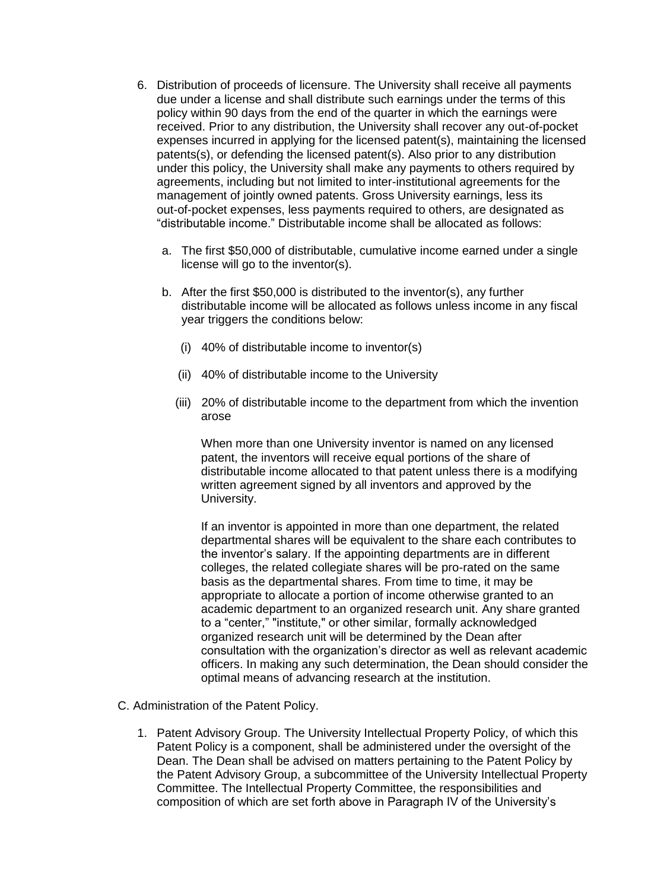- 6. Distribution of proceeds of licensure. The University shall receive all payments due under a license and shall distribute such earnings under the terms of this policy within 90 days from the end of the quarter in which the earnings were received. Prior to any distribution, the University shall recover any out-of-pocket expenses incurred in applying for the licensed patent(s), maintaining the licensed patents(s), or defending the licensed patent(s). Also prior to any distribution under this policy, the University shall make any payments to others required by agreements, including but not limited to inter-institutional agreements for the management of jointly owned patents. Gross University earnings, less its out-of-pocket expenses, less payments required to others, are designated as "distributable income." Distributable income shall be allocated as follows:
	- a. The first \$50,000 of distributable, cumulative income earned under a single license will go to the inventor(s).
	- b. After the first \$50,000 is distributed to the inventor(s), any further distributable income will be allocated as follows unless income in any fiscal year triggers the conditions below:
		- (i) 40% of distributable income to inventor(s)
		- (ii) 40% of distributable income to the University
		- (iii) 20% of distributable income to the department from which the invention arose

When more than one University inventor is named on any licensed patent, the inventors will receive equal portions of the share of distributable income allocated to that patent unless there is a modifying written agreement signed by all inventors and approved by the University.

If an inventor is appointed in more than one department, the related departmental shares will be equivalent to the share each contributes to the inventor's salary. If the appointing departments are in different colleges, the related collegiate shares will be pro-rated on the same basis as the departmental shares. From time to time, it may be appropriate to allocate a portion of income otherwise granted to an academic department to an organized research unit. Any share granted to a "center," "institute," or other similar, formally acknowledged organized research unit will be determined by the Dean after consultation with the organization's director as well as relevant academic officers. In making any such determination, the Dean should consider the optimal means of advancing research at the institution.

- C. Administration of the Patent Policy.
	- 1. Patent Advisory Group. The University Intellectual Property Policy, of which this Patent Policy is a component, shall be administered under the oversight of the Dean. The Dean shall be advised on matters pertaining to the Patent Policy by the Patent Advisory Group, a subcommittee of the University Intellectual Property Committee. The Intellectual Property Committee, the responsibilities and composition of which are set forth above in Paragraph IV of the University's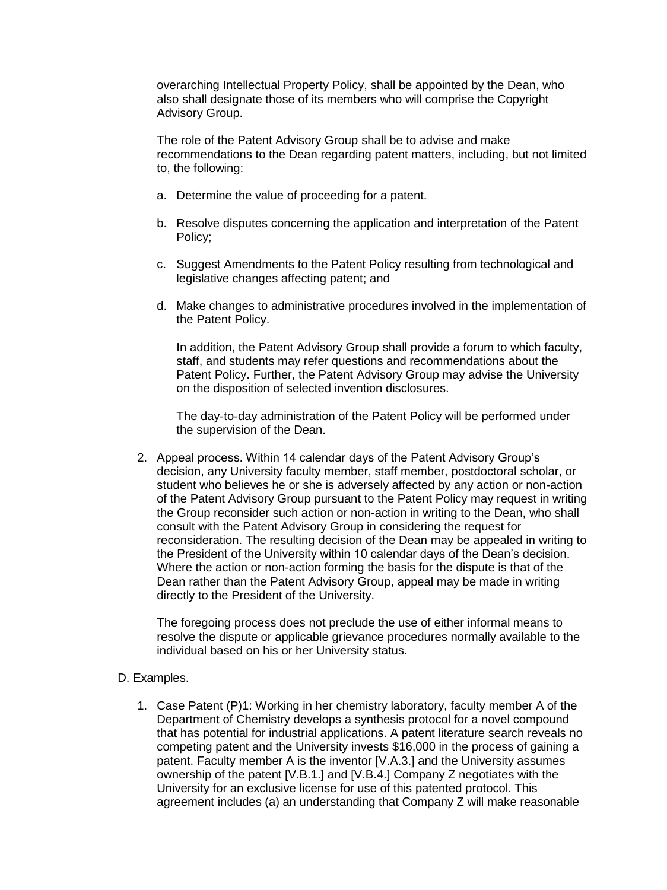overarching Intellectual Property Policy, shall be appointed by the Dean, who also shall designate those of its members who will comprise the Copyright Advisory Group.

The role of the Patent Advisory Group shall be to advise and make recommendations to the Dean regarding patent matters, including, but not limited to, the following:

- a. Determine the value of proceeding for a patent.
- b. Resolve disputes concerning the application and interpretation of the Patent Policy;
- c. Suggest Amendments to the Patent Policy resulting from technological and legislative changes affecting patent; and
- d. Make changes to administrative procedures involved in the implementation of the Patent Policy.

In addition, the Patent Advisory Group shall provide a forum to which faculty, staff, and students may refer questions and recommendations about the Patent Policy. Further, the Patent Advisory Group may advise the University on the disposition of selected invention disclosures.

The day-to-day administration of the Patent Policy will be performed under the supervision of the Dean.

2. Appeal process. Within 14 calendar days of the Patent Advisory Group's decision, any University faculty member, staff member, postdoctoral scholar, or student who believes he or she is adversely affected by any action or non-action of the Patent Advisory Group pursuant to the Patent Policy may request in writing the Group reconsider such action or non-action in writing to the Dean, who shall consult with the Patent Advisory Group in considering the request for reconsideration. The resulting decision of the Dean may be appealed in writing to the President of the University within 10 calendar days of the Dean's decision. Where the action or non-action forming the basis for the dispute is that of the Dean rather than the Patent Advisory Group, appeal may be made in writing directly to the President of the University.

The foregoing process does not preclude the use of either informal means to resolve the dispute or applicable grievance procedures normally available to the individual based on his or her University status.

#### D. Examples.

1. Case Patent (P)1: Working in her chemistry laboratory, faculty member A of the Department of Chemistry develops a synthesis protocol for a novel compound that has potential for industrial applications. A patent literature search reveals no competing patent and the University invests \$16,000 in the process of gaining a patent. Faculty member A is the inventor [V.A.3.] and the University assumes ownership of the patent [V.B.1.] and [V.B.4.] Company Z negotiates with the University for an exclusive license for use of this patented protocol. This agreement includes (a) an understanding that Company Z will make reasonable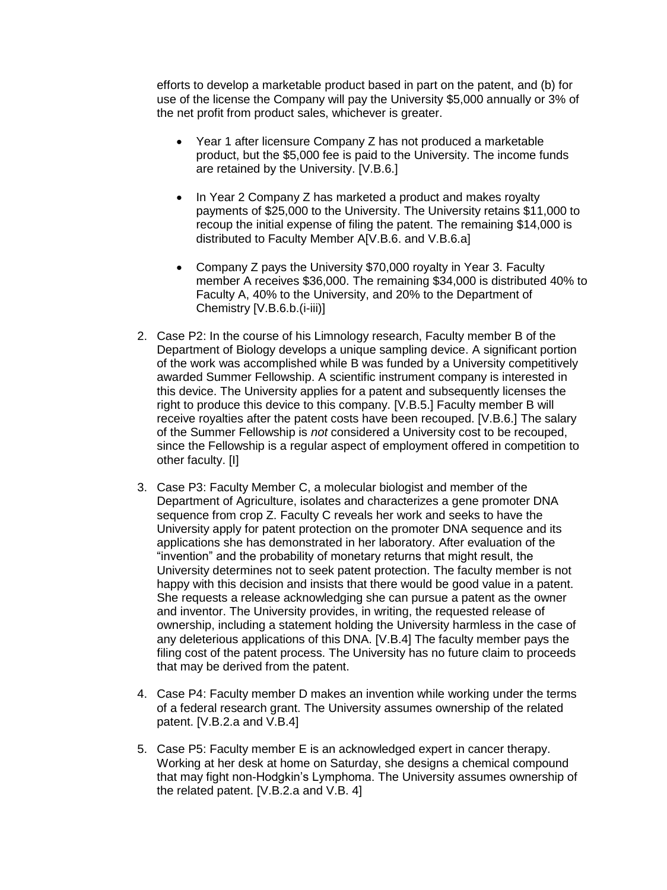efforts to develop a marketable product based in part on the patent, and (b) for use of the license the Company will pay the University \$5,000 annually or 3% of the net profit from product sales, whichever is greater.

- Year 1 after licensure Company Z has not produced a marketable product, but the \$5,000 fee is paid to the University. The income funds are retained by the University. [V.B.6.]
- In Year 2 Company Z has marketed a product and makes royalty payments of \$25,000 to the University. The University retains \$11,000 to recoup the initial expense of filing the patent. The remaining \$14,000 is distributed to Faculty Member A[V.B.6. and V.B.6.a]
- Company Z pays the University \$70,000 royalty in Year 3. Faculty member A receives \$36,000. The remaining \$34,000 is distributed 40% to Faculty A, 40% to the University, and 20% to the Department of Chemistry [V.B.6.b.(i-iii)]
- 2. Case P2: In the course of his Limnology research, Faculty member B of the Department of Biology develops a unique sampling device. A significant portion of the work was accomplished while B was funded by a University competitively awarded Summer Fellowship. A scientific instrument company is interested in this device. The University applies for a patent and subsequently licenses the right to produce this device to this company. [V.B.5.] Faculty member B will receive royalties after the patent costs have been recouped. [V.B.6.] The salary of the Summer Fellowship is *not* considered a University cost to be recouped, since the Fellowship is a regular aspect of employment offered in competition to other faculty. [I]
- 3. Case P3: Faculty Member C, a molecular biologist and member of the Department of Agriculture, isolates and characterizes a gene promoter DNA sequence from crop Z. Faculty C reveals her work and seeks to have the University apply for patent protection on the promoter DNA sequence and its applications she has demonstrated in her laboratory. After evaluation of the "invention" and the probability of monetary returns that might result, the University determines not to seek patent protection. The faculty member is not happy with this decision and insists that there would be good value in a patent. She requests a release acknowledging she can pursue a patent as the owner and inventor. The University provides, in writing, the requested release of ownership, including a statement holding the University harmless in the case of any deleterious applications of this DNA. [V.B.4] The faculty member pays the filing cost of the patent process. The University has no future claim to proceeds that may be derived from the patent.
- 4. Case P4: Faculty member D makes an invention while working under the terms of a federal research grant. The University assumes ownership of the related patent. [V.B.2.a and V.B.4]
- 5. Case P5: Faculty member E is an acknowledged expert in cancer therapy. Working at her desk at home on Saturday, she designs a chemical compound that may fight non-Hodgkin's Lymphoma. The University assumes ownership of the related patent. [V.B.2.a and V.B. 4]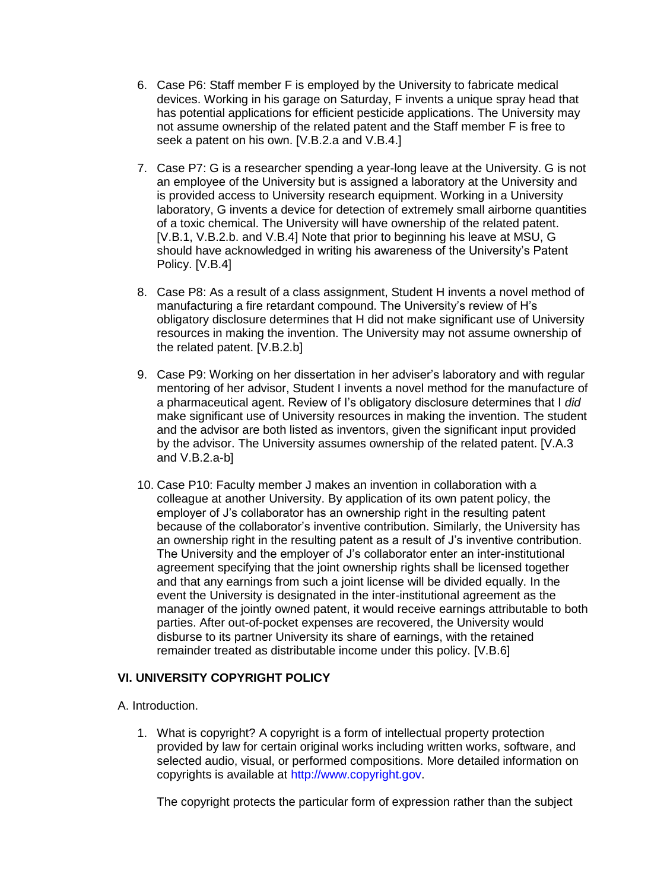- 6. Case P6: Staff member F is employed by the University to fabricate medical devices. Working in his garage on Saturday, F invents a unique spray head that has potential applications for efficient pesticide applications. The University may not assume ownership of the related patent and the Staff member F is free to seek a patent on his own. [V.B.2.a and V.B.4.]
- 7. Case P7: G is a researcher spending a year-long leave at the University. G is not an employee of the University but is assigned a laboratory at the University and is provided access to University research equipment. Working in a University laboratory, G invents a device for detection of extremely small airborne quantities of a toxic chemical. The University will have ownership of the related patent. [V.B.1, V.B.2.b. and V.B.4] Note that prior to beginning his leave at MSU, G should have acknowledged in writing his awareness of the University's Patent Policy. [V.B.4]
- 8. Case P8: As a result of a class assignment, Student H invents a novel method of manufacturing a fire retardant compound. The University's review of H's obligatory disclosure determines that H did not make significant use of University resources in making the invention. The University may not assume ownership of the related patent. [V.B.2.b]
- 9. Case P9: Working on her dissertation in her adviser's laboratory and with regular mentoring of her advisor, Student I invents a novel method for the manufacture of a pharmaceutical agent. Review of I's obligatory disclosure determines that I *did* make significant use of University resources in making the invention. The student and the advisor are both listed as inventors, given the significant input provided by the advisor. The University assumes ownership of the related patent. [V.A.3 and V.B.2.a-b]
- 10. Case P10: Faculty member J makes an invention in collaboration with a colleague at another University. By application of its own patent policy, the employer of J's collaborator has an ownership right in the resulting patent because of the collaborator's inventive contribution. Similarly, the University has an ownership right in the resulting patent as a result of J's inventive contribution. The University and the employer of J's collaborator enter an inter-institutional agreement specifying that the joint ownership rights shall be licensed together and that any earnings from such a joint license will be divided equally. In the event the University is designated in the inter-institutional agreement as the manager of the jointly owned patent, it would receive earnings attributable to both parties. After out-of-pocket expenses are recovered, the University would disburse to its partner University its share of earnings, with the retained remainder treated as distributable income under this policy. [V.B.6]

# **VI. UNIVERSITY COPYRIGHT POLICY**

A. Introduction.

1. What is copyright? A copyright is a form of intellectual property protection provided by law for certain original works including written works, software, and selected audio, visual, or performed compositions. More detailed information on copyrights is available at [http://www.copyright.gov.](http://www.copyright.gov/)

The copyright protects the particular form of expression rather than the subject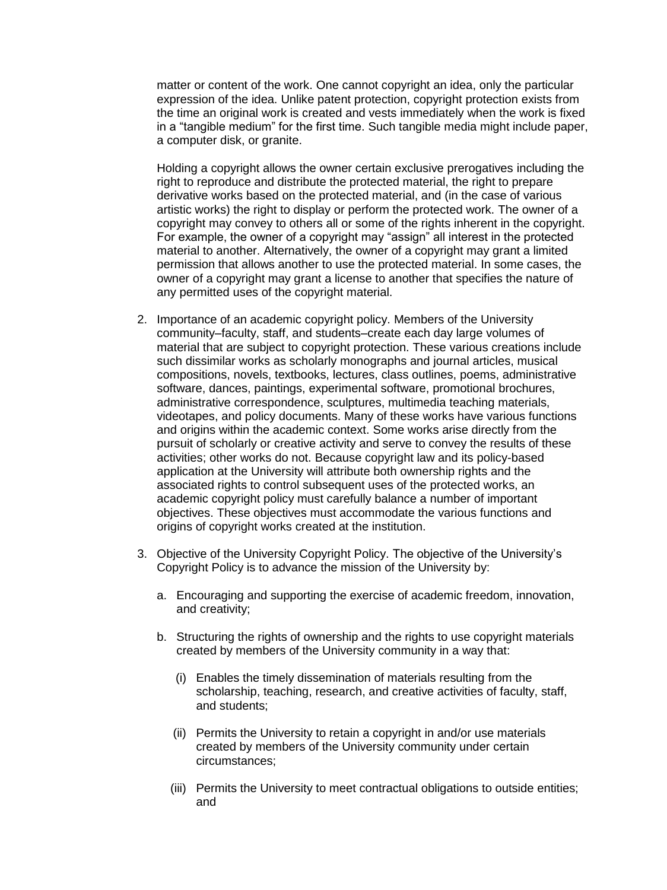matter or content of the work. One cannot copyright an idea, only the particular expression of the idea. Unlike patent protection, copyright protection exists from the time an original work is created and vests immediately when the work is fixed in a "tangible medium" for the first time. Such tangible media might include paper, a computer disk, or granite.

Holding a copyright allows the owner certain exclusive prerogatives including the right to reproduce and distribute the protected material, the right to prepare derivative works based on the protected material, and (in the case of various artistic works) the right to display or perform the protected work. The owner of a copyright may convey to others all or some of the rights inherent in the copyright. For example, the owner of a copyright may "assign" all interest in the protected material to another. Alternatively, the owner of a copyright may grant a limited permission that allows another to use the protected material. In some cases, the owner of a copyright may grant a license to another that specifies the nature of any permitted uses of the copyright material.

- 2. Importance of an academic copyright policy. Members of the University community–faculty, staff, and students–create each day large volumes of material that are subject to copyright protection. These various creations include such dissimilar works as scholarly monographs and journal articles, musical compositions, novels, textbooks, lectures, class outlines, poems, administrative software, dances, paintings, experimental software, promotional brochures, administrative correspondence, sculptures, multimedia teaching materials, videotapes, and policy documents. Many of these works have various functions and origins within the academic context. Some works arise directly from the pursuit of scholarly or creative activity and serve to convey the results of these activities; other works do not. Because copyright law and its policy-based application at the University will attribute both ownership rights and the associated rights to control subsequent uses of the protected works, an academic copyright policy must carefully balance a number of important objectives. These objectives must accommodate the various functions and origins of copyright works created at the institution.
- 3. Objective of the University Copyright Policy. The objective of the University's Copyright Policy is to advance the mission of the University by:
	- a. Encouraging and supporting the exercise of academic freedom, innovation, and creativity;
	- b. Structuring the rights of ownership and the rights to use copyright materials created by members of the University community in a way that:
		- (i) Enables the timely dissemination of materials resulting from the scholarship, teaching, research, and creative activities of faculty, staff, and students;
		- (ii) Permits the University to retain a copyright in and/or use materials created by members of the University community under certain circumstances;
		- (iii) Permits the University to meet contractual obligations to outside entities; and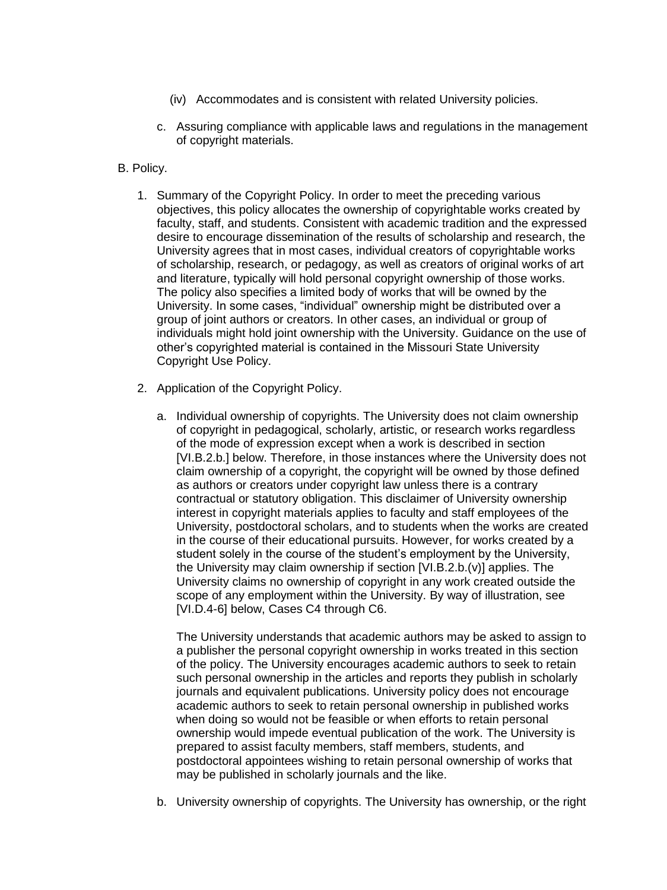- (iv) Accommodates and is consistent with related University policies.
- c. Assuring compliance with applicable laws and regulations in the management of copyright materials.
- B. Policy.
	- 1. Summary of the Copyright Policy. In order to meet the preceding various objectives, this policy allocates the ownership of copyrightable works created by faculty, staff, and students. Consistent with academic tradition and the expressed desire to encourage dissemination of the results of scholarship and research, the University agrees that in most cases, individual creators of copyrightable works of scholarship, research, or pedagogy, as well as creators of original works of art and literature, typically will hold personal copyright ownership of those works. The policy also specifies a limited body of works that will be owned by the University. In some cases, "individual" ownership might be distributed over a group of joint authors or creators. In other cases, an individual or group of individuals might hold joint ownership with the University. Guidance on the use of other's copyrighted material is contained in the Missouri State University Copyright Use Policy.
	- 2. Application of the Copyright Policy.
		- a. Individual ownership of copyrights. The University does not claim ownership of copyright in pedagogical, scholarly, artistic, or research works regardless of the mode of expression except when a work is described in section [VI.B.2.b.] below. Therefore, in those instances where the University does not claim ownership of a copyright, the copyright will be owned by those defined as authors or creators under copyright law unless there is a contrary contractual or statutory obligation. This disclaimer of University ownership interest in copyright materials applies to faculty and staff employees of the University, postdoctoral scholars, and to students when the works are created in the course of their educational pursuits. However, for works created by a student solely in the course of the student's employment by the University, the University may claim ownership if section [VI.B.2.b.(v)] applies. The University claims no ownership of copyright in any work created outside the scope of any employment within the University. By way of illustration, see [VI.D.4-6] below, Cases C4 through C6.

The University understands that academic authors may be asked to assign to a publisher the personal copyright ownership in works treated in this section of the policy. The University encourages academic authors to seek to retain such personal ownership in the articles and reports they publish in scholarly journals and equivalent publications. University policy does not encourage academic authors to seek to retain personal ownership in published works when doing so would not be feasible or when efforts to retain personal ownership would impede eventual publication of the work. The University is prepared to assist faculty members, staff members, students, and postdoctoral appointees wishing to retain personal ownership of works that may be published in scholarly journals and the like.

b. University ownership of copyrights. The University has ownership, or the right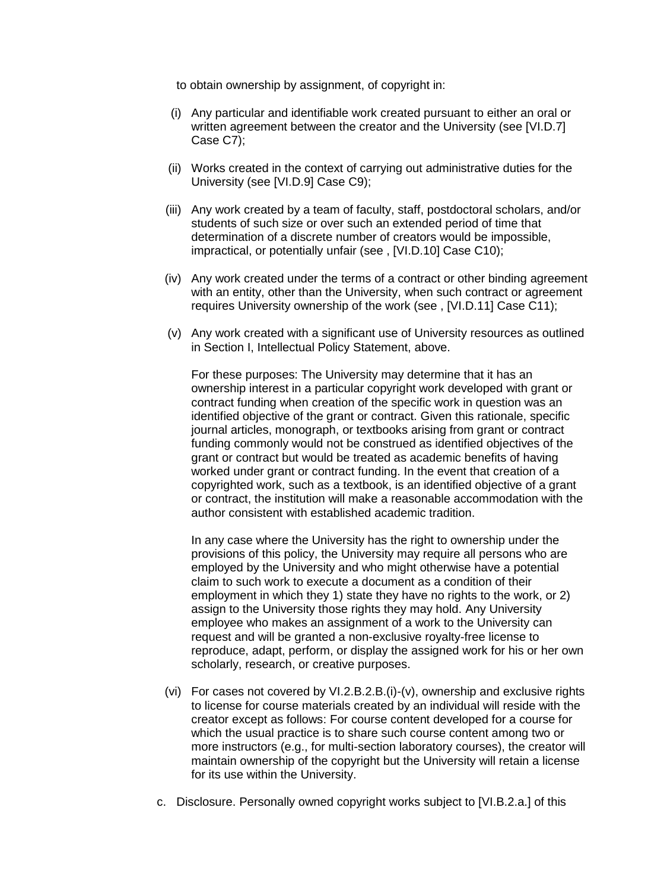to obtain ownership by assignment, of copyright in:

- (i) Any particular and identifiable work created pursuant to either an oral or written agreement between the creator and the University (see [VI.D.7] Case C7);
- (ii) Works created in the context of carrying out administrative duties for the University (see [VI.D.9] Case C9);
- (iii) Any work created by a team of faculty, staff, postdoctoral scholars, and/or students of such size or over such an extended period of time that determination of a discrete number of creators would be impossible, impractical, or potentially unfair (see , [VI.D.10] Case C10);
- (iv) Any work created under the terms of a contract or other binding agreement with an entity, other than the University, when such contract or agreement requires University ownership of the work (see , [VI.D.11] Case C11);
- (v) Any work created with a significant use of University resources as outlined in Section I, Intellectual Policy Statement, above.

For these purposes: The University may determine that it has an ownership interest in a particular copyright work developed with grant or contract funding when creation of the specific work in question was an identified objective of the grant or contract. Given this rationale, specific journal articles, monograph, or textbooks arising from grant or contract funding commonly would not be construed as identified objectives of the grant or contract but would be treated as academic benefits of having worked under grant or contract funding. In the event that creation of a copyrighted work, such as a textbook, is an identified objective of a grant or contract, the institution will make a reasonable accommodation with the author consistent with established academic tradition.

In any case where the University has the right to ownership under the provisions of this policy, the University may require all persons who are employed by the University and who might otherwise have a potential claim to such work to execute a document as a condition of their employment in which they 1) state they have no rights to the work, or 2) assign to the University those rights they may hold. Any University employee who makes an assignment of a work to the University can request and will be granted a non-exclusive royalty-free license to reproduce, adapt, perform, or display the assigned work for his or her own scholarly, research, or creative purposes.

- (vi) For cases not covered by VI.2.B.2.B.(i)-(v), ownership and exclusive rights to license for course materials created by an individual will reside with the creator except as follows: For course content developed for a course for which the usual practice is to share such course content among two or more instructors (e.g., for multi-section laboratory courses), the creator will maintain ownership of the copyright but the University will retain a license for its use within the University.
- c. Disclosure. Personally owned copyright works subject to [VI.B.2.a.] of this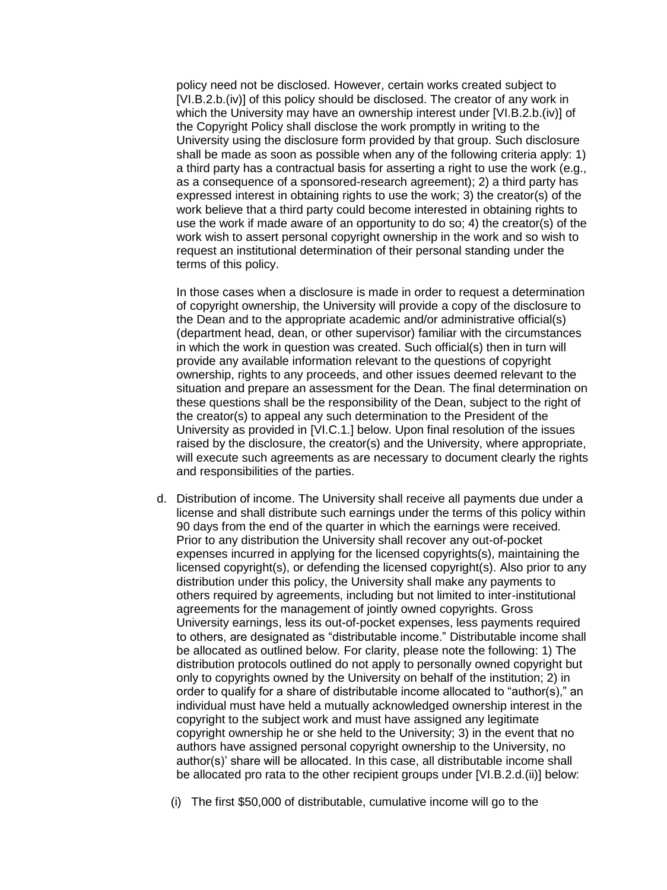policy need not be disclosed. However, certain works created subject to [VI.B.2.b.(iv)] of this policy should be disclosed. The creator of any work in which the University may have an ownership interest under [VI.B.2.b.(iv)] of the Copyright Policy shall disclose the work promptly in writing to the University using the disclosure form provided by that group. Such disclosure shall be made as soon as possible when any of the following criteria apply: 1) a third party has a contractual basis for asserting a right to use the work (e.g., as a consequence of a sponsored-research agreement); 2) a third party has expressed interest in obtaining rights to use the work; 3) the creator(s) of the work believe that a third party could become interested in obtaining rights to use the work if made aware of an opportunity to do so; 4) the creator(s) of the work wish to assert personal copyright ownership in the work and so wish to request an institutional determination of their personal standing under the terms of this policy.

In those cases when a disclosure is made in order to request a determination of copyright ownership, the University will provide a copy of the disclosure to the Dean and to the appropriate academic and/or administrative official(s) (department head, dean, or other supervisor) familiar with the circumstances in which the work in question was created. Such official(s) then in turn will provide any available information relevant to the questions of copyright ownership, rights to any proceeds, and other issues deemed relevant to the situation and prepare an assessment for the Dean. The final determination on these questions shall be the responsibility of the Dean, subject to the right of the creator(s) to appeal any such determination to the President of the University as provided in [VI.C.1.] below. Upon final resolution of the issues raised by the disclosure, the creator(s) and the University, where appropriate, will execute such agreements as are necessary to document clearly the rights and responsibilities of the parties.

d. Distribution of income. The University shall receive all payments due under a license and shall distribute such earnings under the terms of this policy within 90 days from the end of the quarter in which the earnings were received. Prior to any distribution the University shall recover any out-of-pocket expenses incurred in applying for the licensed copyrights(s), maintaining the licensed copyright(s), or defending the licensed copyright(s). Also prior to any distribution under this policy, the University shall make any payments to others required by agreements, including but not limited to inter-institutional agreements for the management of jointly owned copyrights. Gross University earnings, less its out-of-pocket expenses, less payments required to others, are designated as "distributable income." Distributable income shall be allocated as outlined below. For clarity, please note the following: 1) The distribution protocols outlined do not apply to personally owned copyright but only to copyrights owned by the University on behalf of the institution; 2) in order to qualify for a share of distributable income allocated to "author(s)," an individual must have held a mutually acknowledged ownership interest in the copyright to the subject work and must have assigned any legitimate copyright ownership he or she held to the University; 3) in the event that no authors have assigned personal copyright ownership to the University, no author(s)' share will be allocated. In this case, all distributable income shall be allocated pro rata to the other recipient groups under [VI.B.2.d.(ii)] below:

(i) The first \$50,000 of distributable, cumulative income will go to the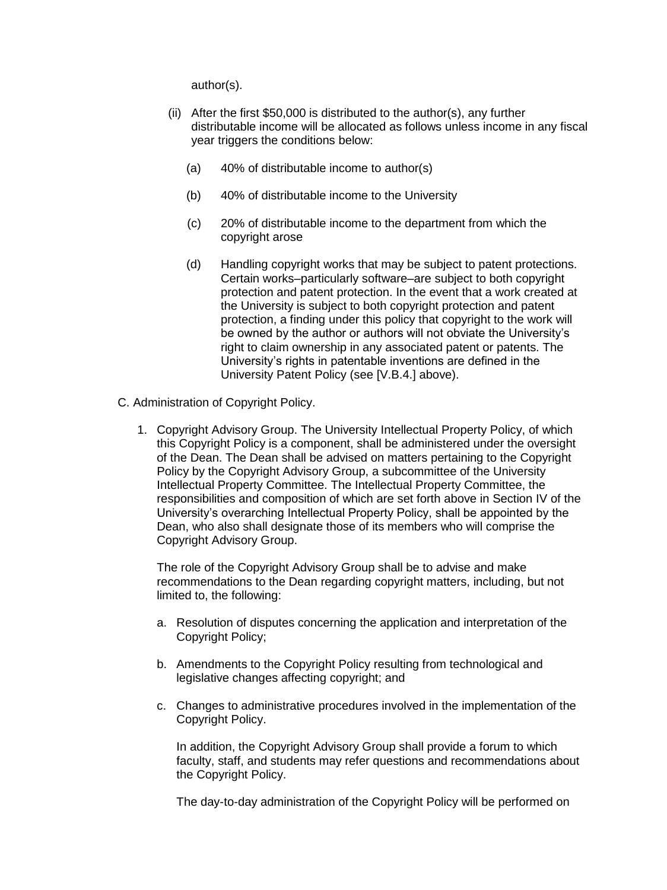author(s).

- (ii) After the first \$50,000 is distributed to the author(s), any further distributable income will be allocated as follows unless income in any fiscal year triggers the conditions below:
	- (a) 40% of distributable income to author(s)
	- (b) 40% of distributable income to the University
	- (c) 20% of distributable income to the department from which the copyright arose
	- (d) Handling copyright works that may be subject to patent protections. Certain works–particularly software–are subject to both copyright protection and patent protection. In the event that a work created at the University is subject to both copyright protection and patent protection, a finding under this policy that copyright to the work will be owned by the author or authors will not obviate the University's right to claim ownership in any associated patent or patents. The University's rights in patentable inventions are defined in the University Patent Policy (see [V.B.4.] above).
- C. Administration of Copyright Policy.
	- 1. Copyright Advisory Group. The University Intellectual Property Policy, of which this Copyright Policy is a component, shall be administered under the oversight of the Dean. The Dean shall be advised on matters pertaining to the Copyright Policy by the Copyright Advisory Group, a subcommittee of the University Intellectual Property Committee. The Intellectual Property Committee, the responsibilities and composition of which are set forth above in Section IV of the University's overarching Intellectual Property Policy, shall be appointed by the Dean, who also shall designate those of its members who will comprise the Copyright Advisory Group.

The role of the Copyright Advisory Group shall be to advise and make recommendations to the Dean regarding copyright matters, including, but not limited to, the following:

- a. Resolution of disputes concerning the application and interpretation of the Copyright Policy;
- b. Amendments to the Copyright Policy resulting from technological and legislative changes affecting copyright; and
- c. Changes to administrative procedures involved in the implementation of the Copyright Policy.

In addition, the Copyright Advisory Group shall provide a forum to which faculty, staff, and students may refer questions and recommendations about the Copyright Policy.

The day-to-day administration of the Copyright Policy will be performed on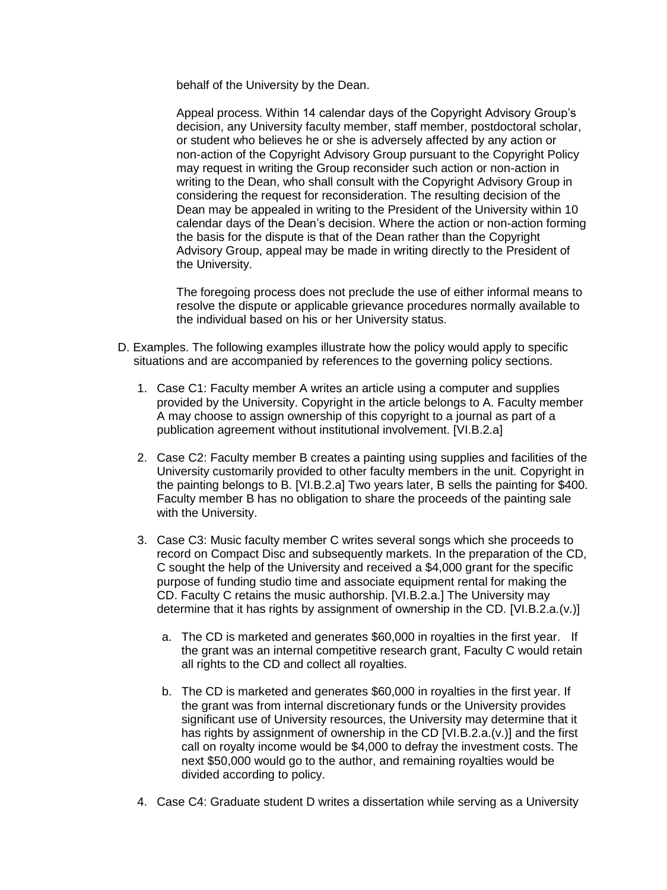behalf of the University by the Dean.

Appeal process. Within 14 calendar days of the Copyright Advisory Group's decision, any University faculty member, staff member, postdoctoral scholar, or student who believes he or she is adversely affected by any action or non-action of the Copyright Advisory Group pursuant to the Copyright Policy may request in writing the Group reconsider such action or non-action in writing to the Dean, who shall consult with the Copyright Advisory Group in considering the request for reconsideration. The resulting decision of the Dean may be appealed in writing to the President of the University within 10 calendar days of the Dean's decision. Where the action or non-action forming the basis for the dispute is that of the Dean rather than the Copyright Advisory Group, appeal may be made in writing directly to the President of the University.

The foregoing process does not preclude the use of either informal means to resolve the dispute or applicable grievance procedures normally available to the individual based on his or her University status.

- D. Examples. The following examples illustrate how the policy would apply to specific situations and are accompanied by references to the governing policy sections.
	- 1. Case C1: Faculty member A writes an article using a computer and supplies provided by the University. Copyright in the article belongs to A. Faculty member A may choose to assign ownership of this copyright to a journal as part of a publication agreement without institutional involvement. [VI.B.2.a]
	- 2. Case C2: Faculty member B creates a painting using supplies and facilities of the University customarily provided to other faculty members in the unit. Copyright in the painting belongs to B. [VI.B.2.a] Two years later, B sells the painting for \$400. Faculty member B has no obligation to share the proceeds of the painting sale with the University.
	- 3. Case C3: Music faculty member C writes several songs which she proceeds to record on Compact Disc and subsequently markets. In the preparation of the CD, C sought the help of the University and received a \$4,000 grant for the specific purpose of funding studio time and associate equipment rental for making the CD. Faculty C retains the music authorship. [VI.B.2.a.] The University may determine that it has rights by assignment of ownership in the CD. [VI.B.2.a.(v.)]
		- a. The CD is marketed and generates \$60,000 in royalties in the first year. If the grant was an internal competitive research grant, Faculty C would retain all rights to the CD and collect all royalties.
		- b. The CD is marketed and generates \$60,000 in royalties in the first year. If the grant was from internal discretionary funds or the University provides significant use of University resources, the University may determine that it has rights by assignment of ownership in the CD [VI.B.2.a.(v.)] and the first call on royalty income would be \$4,000 to defray the investment costs. The next \$50,000 would go to the author, and remaining royalties would be divided according to policy.
	- 4. Case C4: Graduate student D writes a dissertation while serving as a University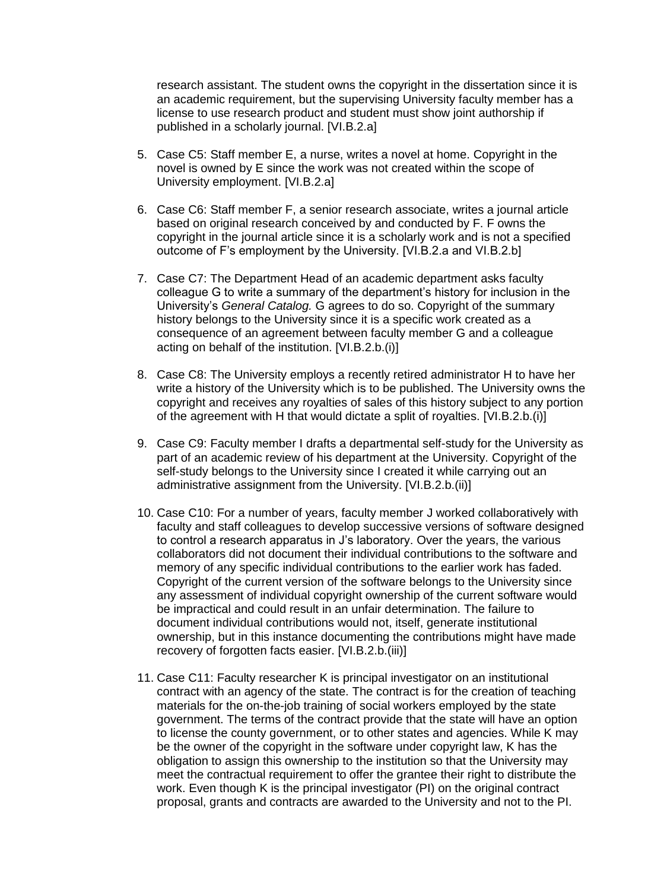research assistant. The student owns the copyright in the dissertation since it is an academic requirement, but the supervising University faculty member has a license to use research product and student must show joint authorship if published in a scholarly journal. [VI.B.2.a]

- 5. Case C5: Staff member E, a nurse, writes a novel at home. Copyright in the novel is owned by E since the work was not created within the scope of University employment. [VI.B.2.a]
- 6. Case C6: Staff member F, a senior research associate, writes a journal article based on original research conceived by and conducted by F. F owns the copyright in the journal article since it is a scholarly work and is not a specified outcome of F's employment by the University. [VI.B.2.a and VI.B.2.b]
- 7. Case C7: The Department Head of an academic department asks faculty colleague G to write a summary of the department's history for inclusion in the University's *General Catalog.* G agrees to do so. Copyright of the summary history belongs to the University since it is a specific work created as a consequence of an agreement between faculty member G and a colleague acting on behalf of the institution. [VI.B.2.b.(i)]
- 8. Case C8: The University employs a recently retired administrator H to have her write a history of the University which is to be published. The University owns the copyright and receives any royalties of sales of this history subject to any portion of the agreement with H that would dictate a split of royalties. [VI.B.2.b.(i)]
- 9. Case C9: Faculty member I drafts a departmental self-study for the University as part of an academic review of his department at the University. Copyright of the self-study belongs to the University since I created it while carrying out an administrative assignment from the University. [VI.B.2.b.(ii)]
- 10. Case C10: For a number of years, faculty member J worked collaboratively with faculty and staff colleagues to develop successive versions of software designed to control a research apparatus in J's laboratory. Over the years, the various collaborators did not document their individual contributions to the software and memory of any specific individual contributions to the earlier work has faded. Copyright of the current version of the software belongs to the University since any assessment of individual copyright ownership of the current software would be impractical and could result in an unfair determination. The failure to document individual contributions would not, itself, generate institutional ownership, but in this instance documenting the contributions might have made recovery of forgotten facts easier. [VI.B.2.b.(iii)]
- 11. Case C11: Faculty researcher K is principal investigator on an institutional contract with an agency of the state. The contract is for the creation of teaching materials for the on-the-job training of social workers employed by the state government. The terms of the contract provide that the state will have an option to license the county government, or to other states and agencies. While K may be the owner of the copyright in the software under copyright law, K has the obligation to assign this ownership to the institution so that the University may meet the contractual requirement to offer the grantee their right to distribute the work. Even though K is the principal investigator (PI) on the original contract proposal, grants and contracts are awarded to the University and not to the PI.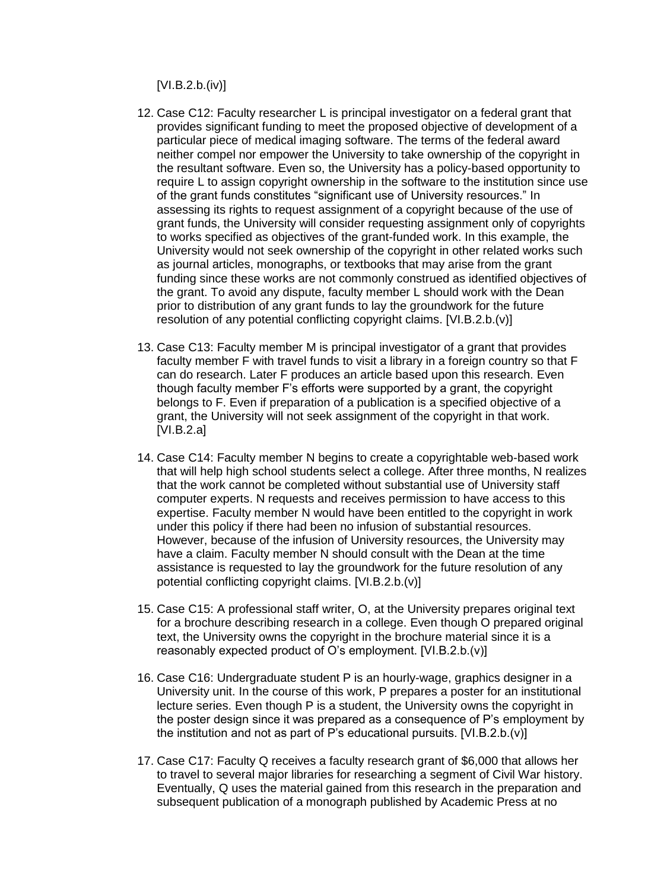[VI.B.2.b.(iv)]

- 12. Case C12: Faculty researcher L is principal investigator on a federal grant that provides significant funding to meet the proposed objective of development of a particular piece of medical imaging software. The terms of the federal award neither compel nor empower the University to take ownership of the copyright in the resultant software. Even so, the University has a policy-based opportunity to require L to assign copyright ownership in the software to the institution since use of the grant funds constitutes "significant use of University resources." In assessing its rights to request assignment of a copyright because of the use of grant funds, the University will consider requesting assignment only of copyrights to works specified as objectives of the grant-funded work. In this example, the University would not seek ownership of the copyright in other related works such as journal articles, monographs, or textbooks that may arise from the grant funding since these works are not commonly construed as identified objectives of the grant. To avoid any dispute, faculty member L should work with the Dean prior to distribution of any grant funds to lay the groundwork for the future resolution of any potential conflicting copyright claims. [VI.B.2.b.(v)]
- 13. Case C13: Faculty member M is principal investigator of a grant that provides faculty member F with travel funds to visit a library in a foreign country so that F can do research. Later F produces an article based upon this research. Even though faculty member F's efforts were supported by a grant, the copyright belongs to F. Even if preparation of a publication is a specified objective of a grant, the University will not seek assignment of the copyright in that work. [VI.B.2.a]
- 14. Case C14: Faculty member N begins to create a copyrightable web-based work that will help high school students select a college. After three months, N realizes that the work cannot be completed without substantial use of University staff computer experts. N requests and receives permission to have access to this expertise. Faculty member N would have been entitled to the copyright in work under this policy if there had been no infusion of substantial resources. However, because of the infusion of University resources, the University may have a claim. Faculty member N should consult with the Dean at the time assistance is requested to lay the groundwork for the future resolution of any potential conflicting copyright claims. [VI.B.2.b.(v)]
- 15. Case C15: A professional staff writer, O, at the University prepares original text for a brochure describing research in a college. Even though O prepared original text, the University owns the copyright in the brochure material since it is a reasonably expected product of O's employment. [VI.B.2.b.(v)]
- 16. Case C16: Undergraduate student P is an hourly-wage, graphics designer in a University unit. In the course of this work, P prepares a poster for an institutional lecture series. Even though P is a student, the University owns the copyright in the poster design since it was prepared as a consequence of P's employment by the institution and not as part of P's educational pursuits. [VI.B.2.b.(v)]
- 17. Case C17: Faculty Q receives a faculty research grant of \$6,000 that allows her to travel to several major libraries for researching a segment of Civil War history. Eventually, Q uses the material gained from this research in the preparation and subsequent publication of a monograph published by Academic Press at no